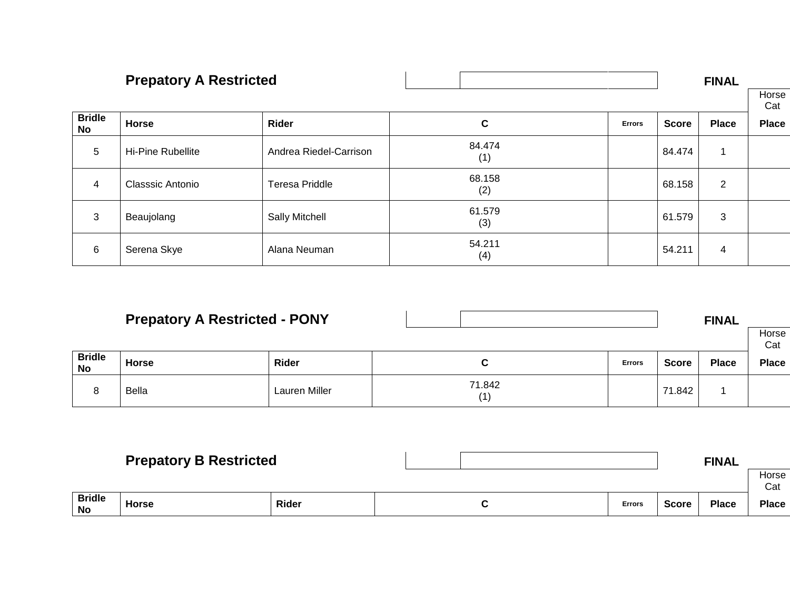|               | <b>Prepatory A Restricted</b> |                        |               |               |              | <b>FINAL</b>   |              |
|---------------|-------------------------------|------------------------|---------------|---------------|--------------|----------------|--------------|
| <b>Bridle</b> |                               |                        |               |               |              |                | Horse<br>Cat |
| No            | <b>Horse</b>                  | Rider                  | C             | <b>Errors</b> | <b>Score</b> | <b>Place</b>   | <b>Place</b> |
| 5             | Hi-Pine Rubellite             | Andrea Riedel-Carrison | 84.474<br>(1) |               | 84.474       |                |              |
| 4             | Classsic Antonio              | <b>Teresa Priddle</b>  | 68.158<br>(2) |               | 68.158       | $\overline{2}$ |              |
| 3             | Beaujolang                    | Sally Mitchell         | 61.579<br>(3) |               | 61.579       | 3              |              |
| 6             | Serena Skye                   | Alana Neuman           | 54.211<br>(4) |               | 54.211       | 4              |              |

|                     | <b>Prepatory A Restricted - PONY</b> |               |  |               |               |              | <b>FINAL</b> | Horse<br>Cat |
|---------------------|--------------------------------------|---------------|--|---------------|---------------|--------------|--------------|--------------|
| <b>Bridle</b><br>No | <b>Horse</b>                         | Rider         |  | ື             | <b>Errors</b> | <b>Score</b> | <b>Place</b> | <b>Place</b> |
|                     | <b>Bella</b>                         | Lauren Miller |  | 71.842<br>(1) |               | 71.842       |              |              |

|                     | <b>Prepatory B Restricted</b> |       |  |  |               |       | <b>FINAL</b> |              |
|---------------------|-------------------------------|-------|--|--|---------------|-------|--------------|--------------|
|                     |                               |       |  |  |               |       |              | Horse<br>Cat |
| <b>Bridle</b><br>No | Horse                         | Rider |  |  | <b>Errors</b> | Score | <b>Place</b> | <b>Place</b> |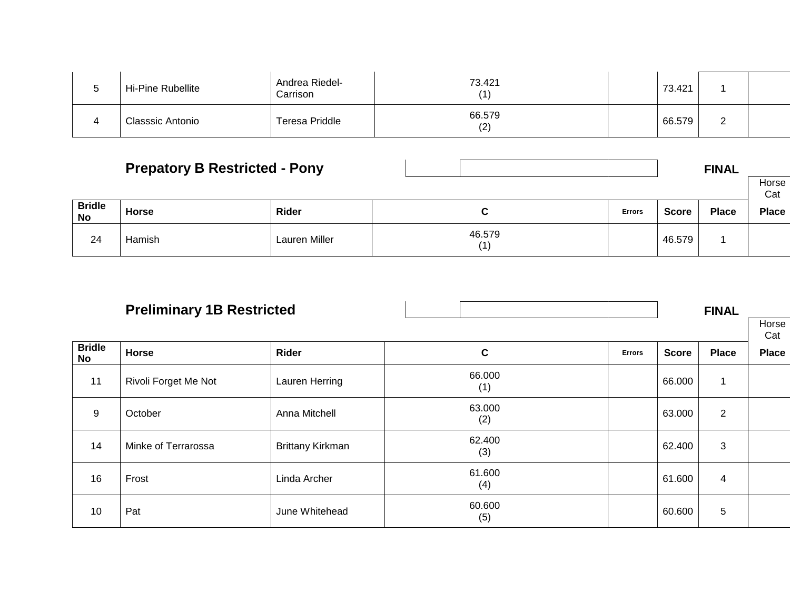| Hi-Pine Rubellite | Andrea Riedel-<br>Carrison | 73.421        | 73.421 |   |  |
|-------------------|----------------------------|---------------|--------|---|--|
| Classsic Antonio  | <b>Teresa Priddle</b>      | 66.579<br>(2) | 66.579 | _ |  |

|                            | <b>Prepatory B Restricted - Pony</b> |               |  |               |               |        | <b>FINAL</b> |              |
|----------------------------|--------------------------------------|---------------|--|---------------|---------------|--------|--------------|--------------|
|                            |                                      |               |  |               |               |        |              | Horse<br>Cat |
| <b>Bridle</b><br><b>No</b> | <b>Horse</b>                         | Rider         |  | ັ             | <b>Errors</b> | Score  | <b>Place</b> | <b>Place</b> |
| 24                         | Hamish                               | Lauren Miller |  | 46.579<br>(1) |               | 46.579 |              |              |

|                     | <b>Preliminary 1B Restricted</b> |                         |               |               |              | <b>FINAL</b>   |              |  |
|---------------------|----------------------------------|-------------------------|---------------|---------------|--------------|----------------|--------------|--|
|                     |                                  |                         |               |               |              |                | Horse<br>Cat |  |
| <b>Bridle</b><br>No | <b>Horse</b>                     | Rider                   | $\mathbf c$   | <b>Errors</b> | <b>Score</b> | <b>Place</b>   | <b>Place</b> |  |
| 11                  | Rivoli Forget Me Not             | Lauren Herring          | 66.000<br>(1) |               | 66.000       |                |              |  |
| $\mathsf g$         | October                          | Anna Mitchell           | 63.000<br>(2) |               | 63.000       | $\overline{2}$ |              |  |
| 14                  | Minke of Terrarossa              | <b>Brittany Kirkman</b> | 62.400<br>(3) |               | 62.400       | 3              |              |  |
| 16                  | Frost                            | Linda Archer            | 61.600<br>(4) |               | 61.600       | $\overline{4}$ |              |  |
| 10                  | Pat                              | June Whitehead          | 60.600<br>(5) |               | 60.600       | 5              |              |  |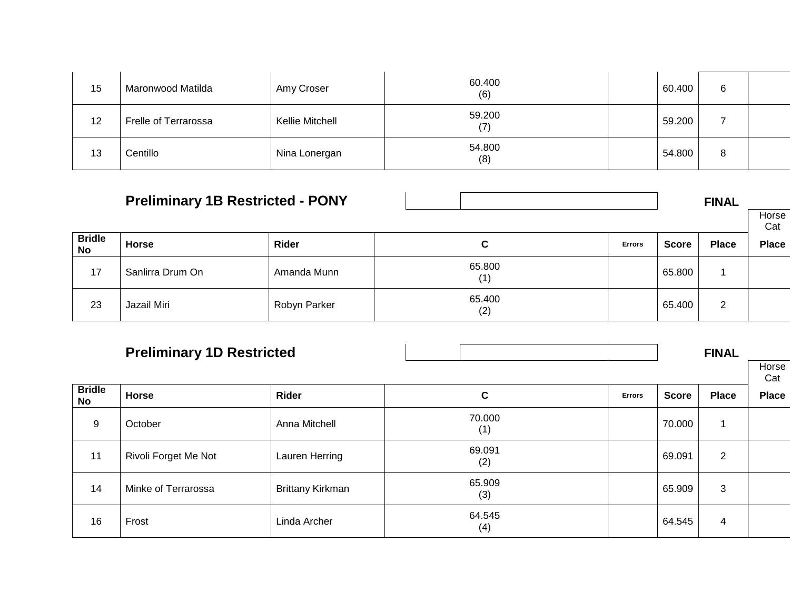| 15 | Maronwood Matilda    | Amy Croser      | 60.400<br>(6) | 60.400 | 6 |  |
|----|----------------------|-----------------|---------------|--------|---|--|
| 12 | Frelle of Terrarossa | Kellie Mitchell | 59.200        | 59.200 |   |  |
| 13 | Centillo             | Nina Lonergan   | 54.800<br>(8) | 54.800 | 8 |  |

|                            | <b>Preliminary 1B Restricted - PONY</b> |              |               |               |              | <b>FINAL</b>   |              |  |
|----------------------------|-----------------------------------------|--------------|---------------|---------------|--------------|----------------|--------------|--|
|                            |                                         |              |               |               |              |                | Horse<br>Cat |  |
| <b>Bridle</b><br><b>No</b> | <b>Horse</b>                            | Rider        | C             | <b>Errors</b> | <b>Score</b> | <b>Place</b>   | <b>Place</b> |  |
| 17                         | Sanlirra Drum On                        | Amanda Munn  | 65.800<br>(1) |               | 65.800       |                |              |  |
| 23                         | Jazail Miri                             | Robyn Parker | 65.400<br>(2) |               | 65.400       | $\overline{2}$ |              |  |

|                     | <b>Preliminary 1D Restricted</b> |                         |               |               |              | <b>FINAL</b>   |              |
|---------------------|----------------------------------|-------------------------|---------------|---------------|--------------|----------------|--------------|
|                     |                                  |                         |               |               |              |                | Horse<br>Cat |
| <b>Bridle</b><br>No | <b>Horse</b>                     | Rider                   | C             | <b>Errors</b> | <b>Score</b> | <b>Place</b>   | <b>Place</b> |
| 9                   | October                          | Anna Mitchell           | 70.000<br>(1) |               | 70.000       |                |              |
| 11                  | Rivoli Forget Me Not             | Lauren Herring          | 69.091<br>(2) |               | 69.091       | $\overline{2}$ |              |
| 14                  | Minke of Terrarossa              | <b>Brittany Kirkman</b> | 65.909<br>(3) |               | 65.909       | 3              |              |
| 16                  | Frost                            | Linda Archer            | 64.545<br>(4) |               | 64.545       | 4              |              |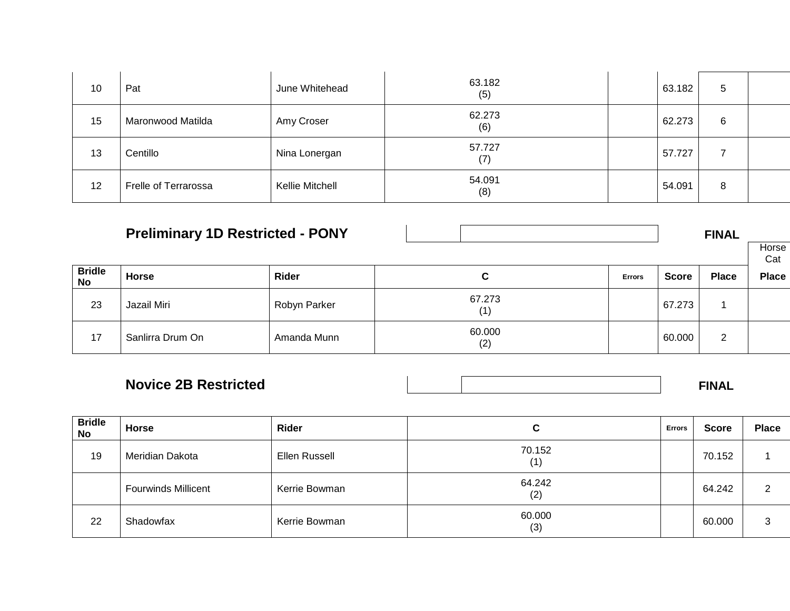| 10 | Pat                         | June Whitehead  | 63.182<br>(5) | 63.182 | 5 |  |
|----|-----------------------------|-----------------|---------------|--------|---|--|
| 15 | Maronwood Matilda           | Amy Croser      | 62.273<br>(6) | 62.273 | 6 |  |
| 13 | Centillo                    | Nina Lonergan   | 57.727<br>(7) | 57.727 |   |  |
| 12 | <b>Frelle of Terrarossa</b> | Kellie Mitchell | 54.091<br>(8) | 54.091 | 8 |  |

| <b>Preliminary 1D Restricted - PONY</b> |                  |              |               |               |        | <b>FINAL</b> | Horse<br>Cat |
|-----------------------------------------|------------------|--------------|---------------|---------------|--------|--------------|--------------|
| <b>Bridle</b><br>No                     | <b>Horse</b>     | Rider        | C             | <b>Errors</b> | Score  | <b>Place</b> | <b>Place</b> |
| 23                                      | Jazail Miri      | Robyn Parker | 67.273<br>(1) |               | 67.273 |              |              |
| 17                                      | Sanlirra Drum On | Amanda Munn  | 60.000<br>(2) |               | 60.000 | 2            |              |

| <b>Novice 2B Restricted</b> |  | <b>FINAL</b> |
|-----------------------------|--|--------------|

| <b>Bridle</b><br>No | Horse                      | Rider         | <b>Errors</b><br>ີ       |  | <b>Score</b> | <b>Place</b> |
|---------------------|----------------------------|---------------|--------------------------|--|--------------|--------------|
| 19                  | Meridian Dakota            | Ellen Russell | 70.152<br>$^{\prime}$ 1) |  | 70.152       |              |
|                     | <b>Fourwinds Millicent</b> | Kerrie Bowman | 64.242<br>(2)            |  | 64.242       | 2            |
| 22                  | Shadowfax                  | Kerrie Bowman | 60.000<br>(3)            |  | 60.000       | 3            |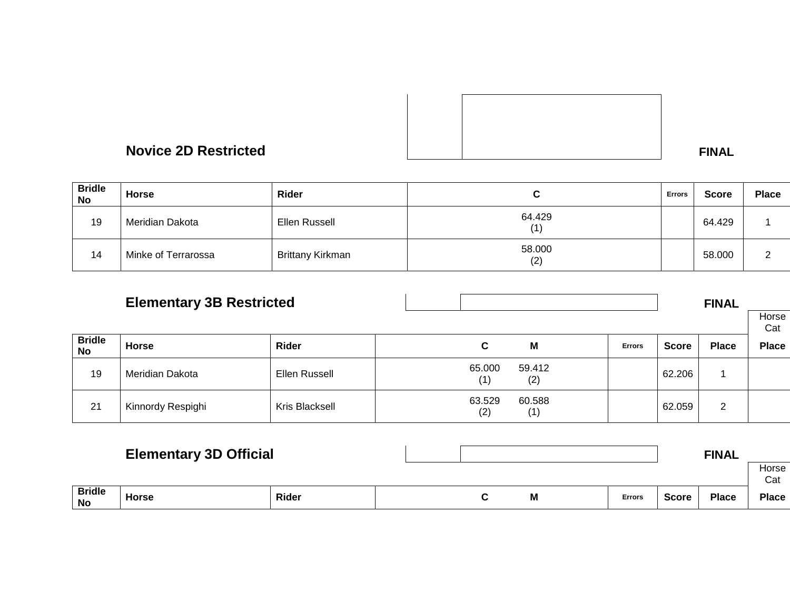

| <b>Bridle</b><br>No | <b>Horse</b>        | Rider                   |               | <b>Errors</b> | <b>Score</b> | <b>Place</b>  |
|---------------------|---------------------|-------------------------|---------------|---------------|--------------|---------------|
| 19                  | Meridian Dakota     | Ellen Russell           | 64.429        |               | 64.429       |               |
| 14                  | Minke of Terrarossa | <b>Brittany Kirkman</b> | 58.000<br>(2) |               | 58.000       | c<br><u>_</u> |

|                            | <b>Elementary 3B Restricted</b> |                |               |  |               |               | Horse<br>Cat |                |              |
|----------------------------|---------------------------------|----------------|---------------|--|---------------|---------------|--------------|----------------|--------------|
| <b>Bridle</b><br><b>No</b> | <b>Horse</b>                    | Rider          | C             |  | M             | <b>Errors</b> | <b>Score</b> | <b>Place</b>   | <b>Place</b> |
| 19                         | Meridian Dakota                 | Ellen Russell  | 65.000<br>(1) |  | 59.412<br>(2) |               | 62.206       |                |              |
| 21                         | Kinnordy Respighi               | Kris Blacksell | 63.529<br>(2) |  | 60.588<br>(1) |               | 62.059       | $\overline{2}$ |              |

|                            | <b>Elementary 3D Official</b> |       |  |  |   |               |              | <b>FINAL</b> |              |
|----------------------------|-------------------------------|-------|--|--|---|---------------|--------------|--------------|--------------|
|                            |                               |       |  |  |   |               |              |              | Horse<br>Cat |
| <b>Bridle</b><br><b>No</b> | Horse                         | Rider |  |  | M | <b>Errors</b> | <b>Score</b> | <b>Place</b> | <b>Place</b> |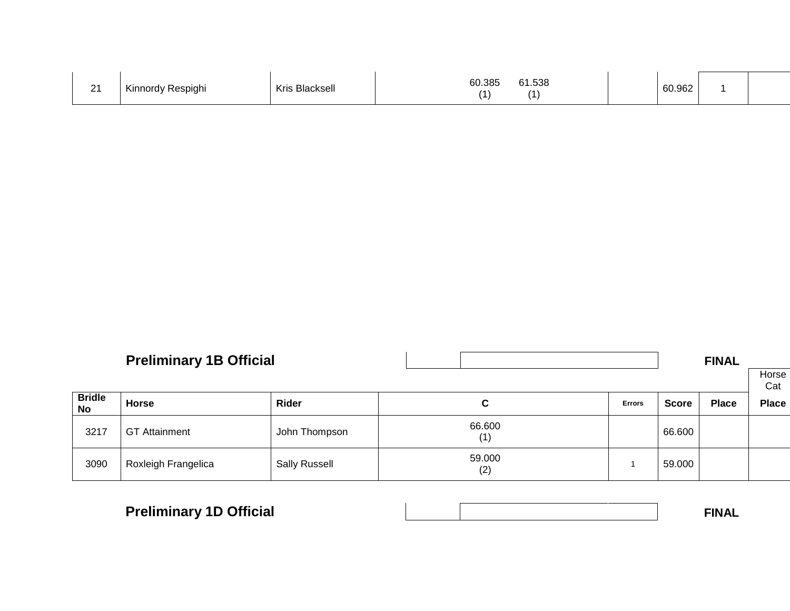| $\Omega$<br>. . | Kinnordy<br>' Respighi | Kris Blacksell | 60.385<br>.538<br>61<br>$\mathbf{A}$ |  | 60.962 |  |  |
|-----------------|------------------------|----------------|--------------------------------------|--|--------|--|--|
|-----------------|------------------------|----------------|--------------------------------------|--|--------|--|--|

|                            | <b>Preliminary 1B Official</b> |                      |               |               | <b>FINAL</b> |              |              |
|----------------------------|--------------------------------|----------------------|---------------|---------------|--------------|--------------|--------------|
|                            |                                |                      |               |               |              |              | Horse<br>Cat |
| <b>Bridle</b><br><b>No</b> | <b>Horse</b>                   | Rider                | C             | <b>Errors</b> | Score        | <b>Place</b> | <b>Place</b> |
| 3217                       | <b>GT Attainment</b>           | John Thompson        | 66.600<br>(1) |               | 66.600       |              |              |
| 3090                       | Roxleigh Frangelica            | <b>Sally Russell</b> | 59.000<br>(2) |               | 59.000       |              |              |

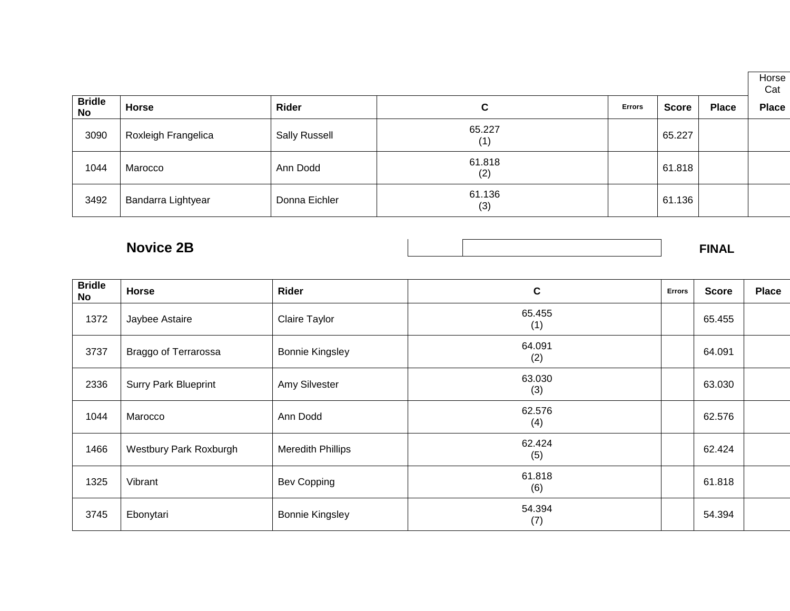|                     |                     |                      |               |               |              |              | Horse<br>Cat |
|---------------------|---------------------|----------------------|---------------|---------------|--------------|--------------|--------------|
| <b>Bridle</b><br>No | <b>Horse</b>        | Rider                | C             | <b>Errors</b> | <b>Score</b> | <b>Place</b> | <b>Place</b> |
| 3090                | Roxleigh Frangelica | <b>Sally Russell</b> | 65.227<br>(1) |               | 65.227       |              |              |
| 1044                | Marocco             | Ann Dodd             | 61.818<br>(2) |               | 61.818       |              |              |
| 3492                | Bandarra Lightyear  | Donna Eichler        | 61.136<br>(3) |               | 61.136       |              |              |

**Novice 2B** FINAL

| <b>Bridle</b><br><b>No</b> | Horse                       | Rider                    | $\mathbf c$   | <b>Errors</b> | <b>Score</b> | <b>Place</b> |
|----------------------------|-----------------------------|--------------------------|---------------|---------------|--------------|--------------|
| 1372                       | Jaybee Astaire              | Claire Taylor            | 65.455<br>(1) |               | 65.455       |              |
| 3737                       | <b>Braggo of Terrarossa</b> | <b>Bonnie Kingsley</b>   | 64.091<br>(2) |               | 64.091       |              |
| 2336                       | <b>Surry Park Blueprint</b> | Amy Silvester            | 63.030<br>(3) |               | 63.030       |              |
| 1044                       | Marocco                     | Ann Dodd                 | 62.576<br>(4) |               | 62.576       |              |
| 1466                       | Westbury Park Roxburgh      | <b>Meredith Phillips</b> | 62.424<br>(5) |               | 62.424       |              |
| 1325                       | Vibrant                     | Bev Copping              | 61.818<br>(6) |               | 61.818       |              |
| 3745                       | Ebonytari                   | <b>Bonnie Kingsley</b>   | 54.394<br>(7) |               | 54.394       |              |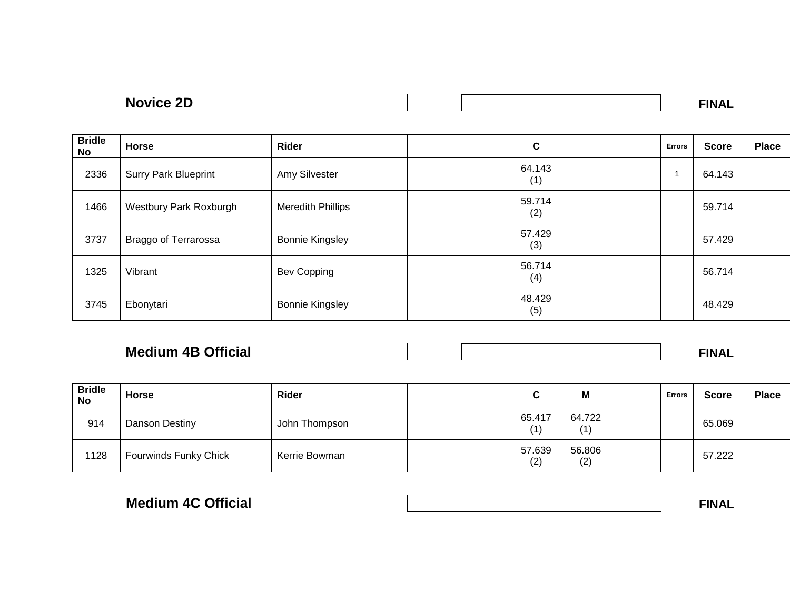| חרי<br><b>Novice</b><br>∠⊔ | .<br>IN / |
|----------------------------|-----------|
|                            |           |

| <b>Bridle</b><br>No | Horse                         | Rider                    | C             | <b>Errors</b> | <b>Score</b> | <b>Place</b> |
|---------------------|-------------------------------|--------------------------|---------------|---------------|--------------|--------------|
| 2336                | <b>Surry Park Blueprint</b>   | Amy Silvester            | 64.143<br>(1) |               | 64.143       |              |
| 1466                | <b>Westbury Park Roxburgh</b> | <b>Meredith Phillips</b> | 59.714<br>(2) |               | 59.714       |              |
| 3737                | Braggo of Terrarossa          | <b>Bonnie Kingsley</b>   | 57.429<br>(3) |               | 57.429       |              |
| 1325                | Vibrant                       | Bev Copping              | 56.714<br>(4) |               | 56.714       |              |
| 3745                | Ebonytari                     | <b>Bonnie Kingsley</b>   | 48.429<br>(5) |               | 48.429       |              |

### **Medium 4B Official FINAL**

| <b>Bridle</b><br>No | <b>Horse</b>                 | Rider         | M                              | <b>Errors</b> | <b>Score</b> | <b>Place</b> |
|---------------------|------------------------------|---------------|--------------------------------|---------------|--------------|--------------|
| 914                 | Danson Destiny               | John Thompson | 64.722<br>65.417<br>(1)<br>(1) |               | 65.069       |              |
| 1128                | <b>Fourwinds Funky Chick</b> | Kerrie Bowman | 57.639<br>56.806<br>(2)<br>(2) |               | 57.222       |              |

| <b>Medium 4C Official</b> |  |  |
|---------------------------|--|--|
|                           |  |  |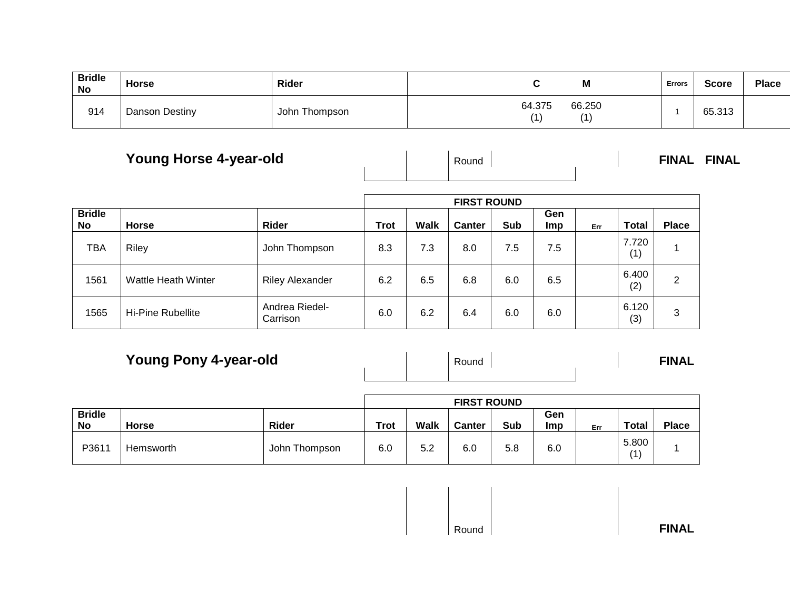| <b>Bridle</b><br>No | <b>Horse</b>   | Rider         | IVI              | Errors | <b>Score</b> | <b>Place</b> |
|---------------------|----------------|---------------|------------------|--------|--------------|--------------|
| 914                 | Danson Destiny | John Thompson | 66.250<br>64.375 |        | 65.313       |              |

# **Young Horse 4-year-old** Round **FINAL FINAL**

|                            |                          |                            | <b>FIRST ROUND</b> |             |               |     |                   |     |              |              |  |  |
|----------------------------|--------------------------|----------------------------|--------------------|-------------|---------------|-----|-------------------|-----|--------------|--------------|--|--|
| <b>Bridle</b><br><b>No</b> | <b>Horse</b>             | Rider                      | <b>Trot</b>        | <b>Walk</b> | <b>Canter</b> | Sub | Gen<br><b>Imp</b> | Err | <b>Total</b> | <b>Place</b> |  |  |
| <b>TBA</b>                 | Riley                    | John Thompson              | 8.3                | 7.3         | 8.0           | 7.5 | 7.5               |     | 7.720<br>(1) |              |  |  |
| 1561                       | Wattle Heath Winter      | <b>Riley Alexander</b>     | 6.2                | 6.5         | 6.8           | 6.0 | 6.5               |     | 6.400<br>(2) | 2            |  |  |
| 1565                       | <b>Hi-Pine Rubellite</b> | Andrea Riedel-<br>Carrison | 6.0                | 6.2         | 6.4           | 6.0 | 6.0               |     | 6.120<br>(3) | 3            |  |  |

**Young Pony 4-year-old** 

|  | Round |  | <b>FINAL</b> |
|--|-------|--|--------------|
|  |       |  |              |

|                     |           |               | <b>FIRST ROUND</b> |      |               |     |            |     |              |              |
|---------------------|-----------|---------------|--------------------|------|---------------|-----|------------|-----|--------------|--------------|
| <b>Bridle</b><br>No | Horse     | Rider         | <b>Trot</b>        | Walk | <b>Canter</b> | Sub | Gen<br>Imp | Err | <b>Total</b> | <b>Place</b> |
| P3611               | Hemsworth | John Thompson | 6.0                | 5.2  | 6.0           | 5.8 | 6.0        |     | 5.800<br>(1) |              |

| <b>FINAL</b> | Round |  |
|--------------|-------|--|